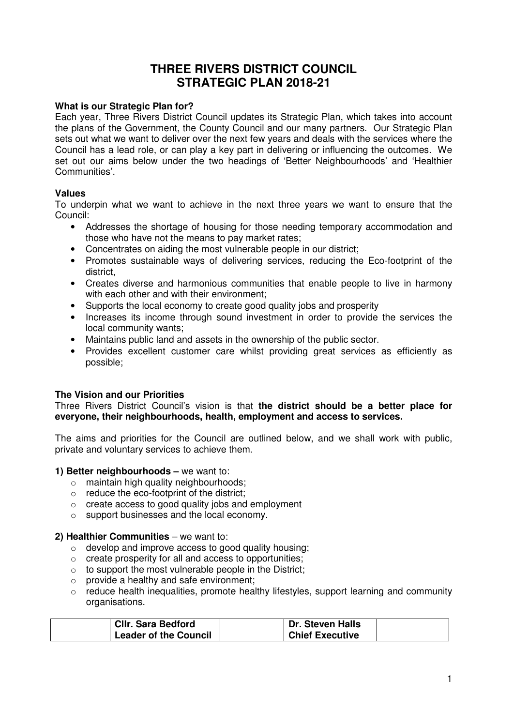# **THREE RIVERS DISTRICT COUNCIL STRATEGIC PLAN 2018-21**

#### **What is our Strategic Plan for?**

Each year, Three Rivers District Council updates its Strategic Plan, which takes into account the plans of the Government, the County Council and our many partners. Our Strategic Plan sets out what we want to deliver over the next few years and deals with the services where the Council has a lead role, or can play a key part in delivering or influencing the outcomes. We set out our aims below under the two headings of 'Better Neighbourhoods' and 'Healthier Communities'.

### **Values**

To underpin what we want to achieve in the next three years we want to ensure that the Council:

- Addresses the shortage of housing for those needing temporary accommodation and those who have not the means to pay market rates;
- Concentrates on aiding the most vulnerable people in our district;
- Promotes sustainable ways of delivering services, reducing the Eco-footprint of the district,
- Creates diverse and harmonious communities that enable people to live in harmony with each other and with their environment:
- Supports the local economy to create good quality jobs and prosperity
- Increases its income through sound investment in order to provide the services the local community wants;
- Maintains public land and assets in the ownership of the public sector.
- Provides excellent customer care whilst providing great services as efficiently as possible;

#### **The Vision and our Priorities**

Three Rivers District Council's vision is that **the district should be a better place for everyone, their neighbourhoods, health, employment and access to services.** 

The aims and priorities for the Council are outlined below, and we shall work with public, private and voluntary services to achieve them.

#### **1) Better neighbourhoods –** we want to:

- o maintain high quality neighbourhoods;
- o reduce the eco-footprint of the district;
- o create access to good quality jobs and employment
- o support businesses and the local economy.

#### **2) Healthier Communities** – we want to:

- o develop and improve access to good quality housing;
- o create prosperity for all and access to opportunities;
- $\circ$  to support the most vulnerable people in the District;
- o provide a healthy and safe environment;
- o reduce health inequalities, promote healthy lifestyles, support learning and community organisations.

| <b>CIIr. Sara Bedford</b>    | Dr. Steven Halls       |  |
|------------------------------|------------------------|--|
| <b>Leader of the Council</b> | <b>Chief Executive</b> |  |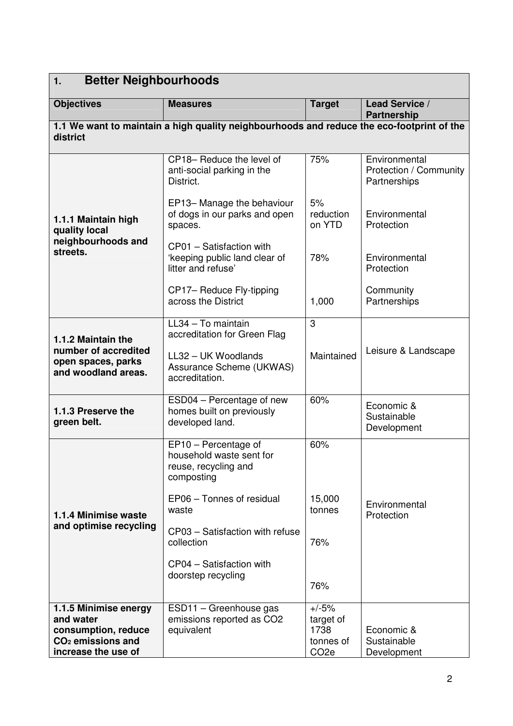| <b>Better Neighbourhoods</b><br>1.                                          |                                                                                           |                                       |                                                         |
|-----------------------------------------------------------------------------|-------------------------------------------------------------------------------------------|---------------------------------------|---------------------------------------------------------|
| <b>Objectives</b>                                                           | <b>Measures</b>                                                                           | <b>Target</b>                         | Lead Service /<br><b>Partnership</b>                    |
| district                                                                    | 1.1 We want to maintain a high quality neighbourhoods and reduce the eco-footprint of the |                                       |                                                         |
|                                                                             | CP18- Reduce the level of<br>anti-social parking in the<br>District.                      | 75%                                   | Environmental<br>Protection / Community<br>Partnerships |
| 1.1.1 Maintain high<br>quality local                                        | EP13-Manage the behaviour<br>of dogs in our parks and open<br>spaces.                     | 5%<br>reduction<br>on YTD             | Environmental<br>Protection                             |
| neighbourhoods and<br>streets.                                              | CP01 - Satisfaction with<br>'keeping public land clear of<br>litter and refuse'           | 78%                                   | Environmental<br>Protection                             |
|                                                                             | CP17- Reduce Fly-tipping<br>across the District                                           | 1,000                                 | Community<br>Partnerships                               |
| 1.1.2 Maintain the                                                          | $LL34 - To$ maintain<br>accreditation for Green Flag                                      | 3                                     |                                                         |
| number of accredited<br>open spaces, parks<br>and woodland areas.           | LL32 - UK Woodlands<br>Assurance Scheme (UKWAS)<br>accreditation.                         | Maintained                            | Leisure & Landscape                                     |
| 1.1.3 Preserve the<br>green belt.                                           | ESD04 - Percentage of new<br>homes built on previously<br>developed land.                 | 60%                                   | Economic &<br>Sustainable<br>Development                |
|                                                                             | EP10 - Percentage of<br>household waste sent for<br>reuse, recycling and<br>composting    | 60%                                   |                                                         |
| 1.1.4 Minimise waste<br>and optimise recycling                              | EP06 - Tonnes of residual<br>waste                                                        | 15,000<br>tonnes                      | Environmental<br>Protection                             |
|                                                                             | CP03 - Satisfaction with refuse<br>collection                                             | 76%                                   |                                                         |
|                                                                             | CP04 - Satisfaction with<br>doorstep recycling                                            | 76%                                   |                                                         |
| 1.1.5 Minimise energy<br>and water                                          | ESD11 - Greenhouse gas<br>emissions reported as CO2                                       | $+/-5%$<br>target of                  |                                                         |
| consumption, reduce<br>CO <sub>2</sub> emissions and<br>increase the use of | equivalent                                                                                | 1738<br>tonnes of<br>CO <sub>2e</sub> | Economic &<br>Sustainable<br>Development                |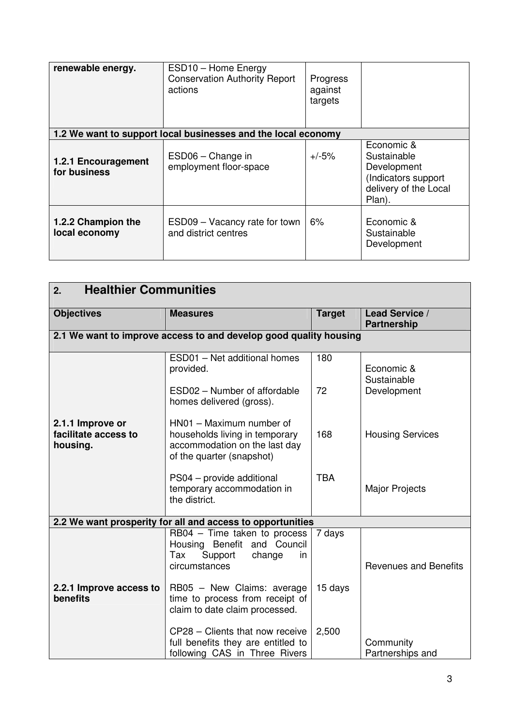| renewable energy.                   | ESD10 - Home Energy<br><b>Conservation Authority Report</b><br>actions | Progress<br>against<br>targets |                                                                                                    |
|-------------------------------------|------------------------------------------------------------------------|--------------------------------|----------------------------------------------------------------------------------------------------|
|                                     | 1.2 We want to support local businesses and the local economy          |                                |                                                                                                    |
| 1.2.1 Encouragement<br>for business | ESD06 - Change in<br>employment floor-space                            | $+/-5%$                        | Economic &<br>Sustainable<br>Development<br>(Indicators support<br>delivery of the Local<br>Plan). |
| 1.2.2 Champion the<br>local economy | ESD09 - Vacancy rate for town<br>and district centres                  | 6%                             | Economic &<br>Sustainable<br>Development                                                           |

| <b>Healthier Communities</b><br>2.                         |                                                                                                                          |               |                                      |
|------------------------------------------------------------|--------------------------------------------------------------------------------------------------------------------------|---------------|--------------------------------------|
| <b>Objectives</b>                                          | <b>Measures</b>                                                                                                          | <b>Target</b> | Lead Service /<br><b>Partnership</b> |
|                                                            | 2.1 We want to improve access to and develop good quality housing                                                        |               |                                      |
|                                                            | ESD01 - Net additional homes<br>provided.                                                                                | 180           | Economic &<br>Sustainable            |
|                                                            | ESD02 - Number of affordable<br>homes delivered (gross).                                                                 | 72            | Development                          |
| 2.1.1 Improve or<br>facilitate access to<br>housing.       | HN01 - Maximum number of<br>households living in temporary<br>accommodation on the last day<br>of the quarter (snapshot) | 168           | <b>Housing Services</b>              |
|                                                            | PS04 - provide additional<br>temporary accommodation in<br>the district.                                                 | <b>TBA</b>    | <b>Major Projects</b>                |
| 2.2 We want prosperity for all and access to opportunities |                                                                                                                          |               |                                      |
|                                                            | RB04 - Time taken to process<br>Housing Benefit and Council<br>Support<br>Tax<br>change<br>in<br>circumstances           | 7 days        | <b>Revenues and Benefits</b>         |
| 2.2.1 Improve access to<br>benefits                        | RB05 - New Claims: average<br>time to process from receipt of<br>claim to date claim processed.                          | 15 days       |                                      |
|                                                            | CP28 - Clients that now receive<br>full benefits they are entitled to<br>following CAS in Three Rivers                   | 2,500         | Community<br>Partnerships and        |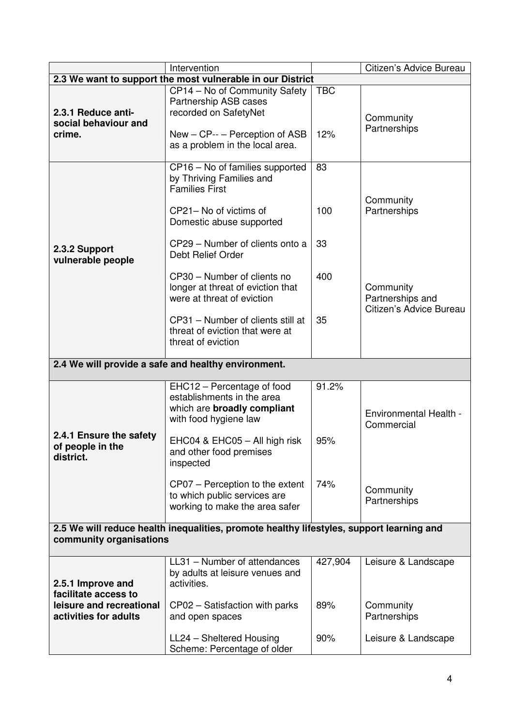|                                                                           | Intervention                                                                                      |            | Citizen's Advice Bureau                                  |
|---------------------------------------------------------------------------|---------------------------------------------------------------------------------------------------|------------|----------------------------------------------------------|
| 2.3 We want to support the most vulnerable in our District                |                                                                                                   |            |                                                          |
| 2.3.1 Reduce anti-<br>social behaviour and<br>crime.                      | CP14 - No of Community Safety<br>Partnership ASB cases<br>recorded on SafetyNet                   | <b>TBC</b> | Community                                                |
|                                                                           | New - CP-- - Perception of ASB<br>as a problem in the local area.                                 | 12%        | Partnerships                                             |
|                                                                           | CP16 - No of families supported<br>by Thriving Families and<br><b>Families First</b>              | 83         | Community                                                |
|                                                                           | CP21- No of victims of<br>Domestic abuse supported                                                | 100        | Partnerships                                             |
| 2.3.2 Support<br>vulnerable people                                        | CP29 - Number of clients onto a<br>Debt Relief Order                                              | 33         |                                                          |
|                                                                           | CP30 - Number of clients no<br>longer at threat of eviction that<br>were at threat of eviction    | 400        | Community<br>Partnerships and<br>Citizen's Advice Bureau |
|                                                                           | CP31 - Number of clients still at<br>threat of eviction that were at<br>threat of eviction        | 35         |                                                          |
|                                                                           | 2.4 We will provide a safe and healthy environment.                                               |            |                                                          |
|                                                                           | EHC12 – Percentage of food<br>establishments in the area<br>which are broadly compliant           | 91.2%      | Environmental Health -                                   |
|                                                                           | with food hygiene law                                                                             |            | Commercial                                               |
| 2.4.1 Ensure the safety<br>of people in the<br>district.                  | EHC04 & EHC05 - All high risk<br>and other food premises<br>inspected                             | 95%        |                                                          |
|                                                                           | CP07 - Perception to the extent<br>to which public services are<br>working to make the area safer | 74%        | Community<br>Partnerships                                |
| community organisations                                                   | 2.5 We will reduce health inequalities, promote healthy lifestyles, support learning and          |            |                                                          |
| 2.5.1 Improve and                                                         | LL31 - Number of attendances<br>by adults at leisure venues and<br>activities.                    | 427,904    | Leisure & Landscape                                      |
| facilitate access to<br>leisure and recreational<br>activities for adults | CP02 - Satisfaction with parks<br>and open spaces                                                 | 89%        | Community<br>Partnerships                                |